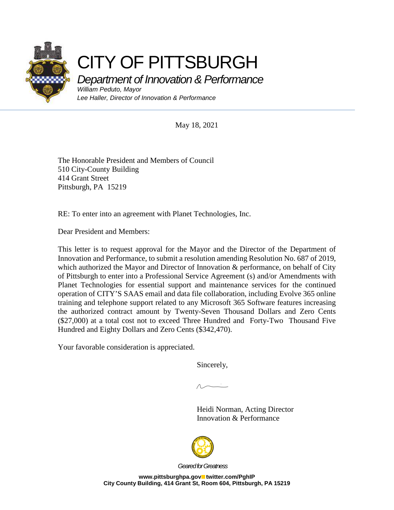

## CITY OF PITTSBURGH

Department of Innovation & Performance

William Peduto, Mayor Lee Haller, Director of Innovation & Performance

May 18, 2021

The Honorable President and Members of Council 510 City-County Building 414 Grant Street Pittsburgh, PA 15219

RE: To enter into an agreement with Planet Technologies, Inc.

Dear President and Members:

This letter is to request approval for the Mayor and the Director of the Department of Innovation and Performance, to submit a resolution amending Resolution No. 687 of 2019, which authorized the Mayor and Director of Innovation & performance, on behalf of City of Pittsburgh to enter into a Professional Service Agreement (s) and/or Amendments with Planet Technologies for essential support and maintenance services for the continued operation of CITY'S SAAS email and data file collaboration, including Evolve 365 online training and telephone support related to any Microsoft 365 Software features increasing the authorized contract amount by Twenty-Seven Thousand Dollars and Zero Cents (\$27,000) at a total cost not to exceed Three Hundred and Forty-Two Thousand Five Hundred and Eighty Dollars and Zero Cents (\$342,470).

Your favorable consideration is appreciated.

Sincerely,

 Heidi Norman, Acting Director Innovation & Performance



Geared for Greatness

www.pittsburghpa.gov**etabler.com/PghIP City County Building, 414 Grant St, Room 604, Pittsburgh, PA 15219**